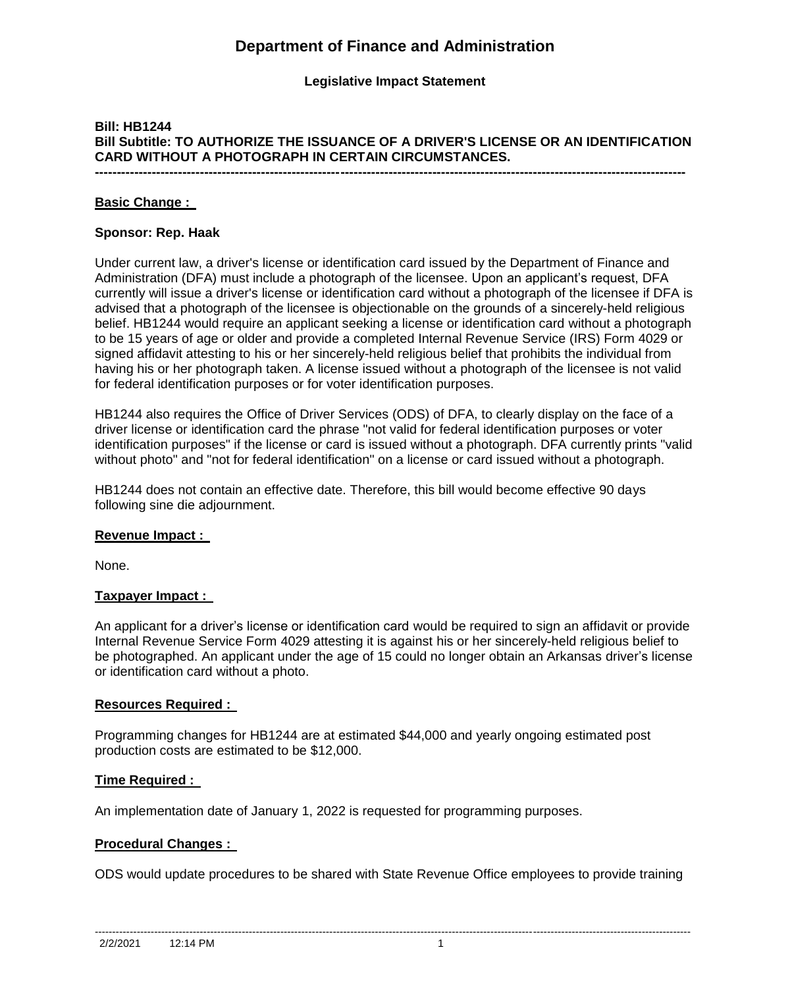# **Department of Finance and Administration**

**Legislative Impact Statement**

## **Bill: HB1244 Bill Subtitle: TO AUTHORIZE THE ISSUANCE OF A DRIVER'S LICENSE OR AN IDENTIFICATION CARD WITHOUT A PHOTOGRAPH IN CERTAIN CIRCUMSTANCES. ---------------------------------------------------------------------------------------------------------------------------------------**

## **Basic Change :**

#### **Sponsor: Rep. Haak**

Under current law, a driver's license or identification card issued by the Department of Finance and Administration (DFA) must include a photograph of the licensee. Upon an applicant's request, DFA currently will issue a driver's license or identification card without a photograph of the licensee if DFA is advised that a photograph of the licensee is objectionable on the grounds of a sincerely-held religious belief. HB1244 would require an applicant seeking a license or identification card without a photograph to be 15 years of age or older and provide a completed Internal Revenue Service (IRS) Form 4029 or signed affidavit attesting to his or her sincerely-held religious belief that prohibits the individual from having his or her photograph taken. A license issued without a photograph of the licensee is not valid for federal identification purposes or for voter identification purposes.

HB1244 also requires the Office of Driver Services (ODS) of DFA, to clearly display on the face of a driver license or identification card the phrase "not valid for federal identification purposes or voter identification purposes" if the license or card is issued without a photograph. DFA currently prints "valid without photo" and "not for federal identification" on a license or card issued without a photograph.

HB1244 does not contain an effective date. Therefore, this bill would become effective 90 days following sine die adjournment.

### **Revenue Impact :**

None.

## **Taxpayer Impact :**

An applicant for a driver's license or identification card would be required to sign an affidavit or provide Internal Revenue Service Form 4029 attesting it is against his or her sincerely-held religious belief to be photographed. An applicant under the age of 15 could no longer obtain an Arkansas driver's license or identification card without a photo.

#### **Resources Required :**

Programming changes for HB1244 are at estimated \$44,000 and yearly ongoing estimated post production costs are estimated to be \$12,000.

## **Time Required :**

An implementation date of January 1, 2022 is requested for programming purposes.

### **Procedural Changes :**

ODS would update procedures to be shared with State Revenue Office employees to provide training

--------------------------------------------------------------------------------------------------------------------------------------------------------------------------